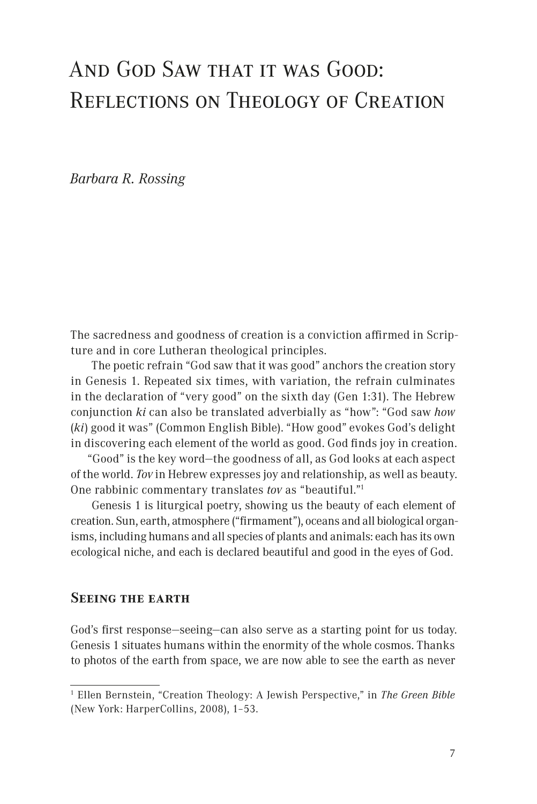# And God Saw that it was Good: Reflections on Theology of Creation

*Barbara R. Rossing*

The sacredness and goodness of creation is a conviction affirmed in Scripture and in core Lutheran theological principles.

The poetic refrain "God saw that it was good" anchors the creation story in Genesis 1. Repeated six times, with variation, the refrain culminates in the declaration of "very good" on the sixth day (Gen 1:31). The Hebrew conjunction *ki* can also be translated adverbially as "how": "God saw *how* (*ki*) good it was" (Common English Bible). "How good" evokes God's delight in discovering each element of the world as good. God finds joy in creation.

"Good" is the key word—the goodness of all, as God looks at each aspect of the world. *Tov* in Hebrew expresses joy and relationship, as well as beauty. One rabbinic commentary translates *tov* as "beautiful."1

Genesis 1 is liturgical poetry, showing us the beauty of each element of creation. Sun, earth, atmosphere ("firmament"), oceans and all biological organisms, including humans and all species of plants and animals: each has its own ecological niche, and each is declared beautiful and good in the eyes of God.

## **Seeing the earth**

God's first response—seeing—can also serve as a starting point for us today. Genesis 1 situates humans within the enormity of the whole cosmos. Thanks to photos of the earth from space, we are now able to see the earth as never

<sup>1</sup> Ellen Bernstein, "Creation Theology: A Jewish Perspective," in *The Green Bible*  (New York: HarperCollins, 2008), 1–53.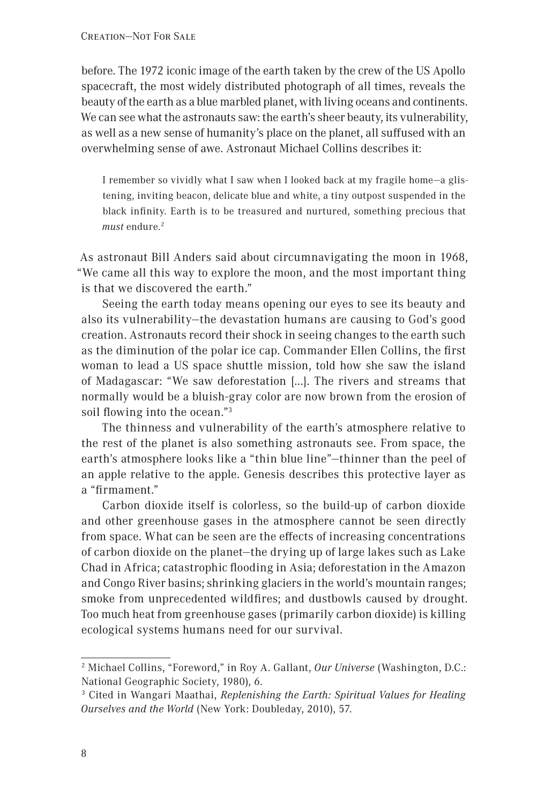before. The 1972 iconic image of the earth taken by the crew of the US Apollo spacecraft, the most widely distributed photograph of all times, reveals the beauty of the earth as a blue marbled planet, with living oceans and continents. We can see what the astronauts saw: the earth's sheer beauty, its vulnerability, as well as a new sense of humanity's place on the planet, all suffused with an overwhelming sense of awe. Astronaut Michael Collins describes it:

I remember so vividly what I saw when I looked back at my fragile home—a glistening, inviting beacon, delicate blue and white, a tiny outpost suspended in the black infinity. Earth is to be treasured and nurtured, something precious that *must* endure.<sup>2</sup>

As astronaut Bill Anders said about circumnavigating the moon in 1968, "We came all this way to explore the moon, and the most important thing is that we discovered the earth."

Seeing the earth today means opening our eyes to see its beauty and also its vulnerability—the devastation humans are causing to God's good creation. Astronauts record their shock in seeing changes to the earth such as the diminution of the polar ice cap. Commander Ellen Collins, the first woman to lead a US space shuttle mission, told how she saw the island of Madagascar: "We saw deforestation [...}. The rivers and streams that normally would be a bluish-gray color are now brown from the erosion of soil flowing into the ocean."3

The thinness and vulnerability of the earth's atmosphere relative to the rest of the planet is also something astronauts see. From space, the earth's atmosphere looks like a "thin blue line"—thinner than the peel of an apple relative to the apple. Genesis describes this protective layer as a "firmament."

Carbon dioxide itself is colorless, so the build-up of carbon dioxide and other greenhouse gases in the atmosphere cannot be seen directly from space. What can be seen are the effects of increasing concentrations of carbon dioxide on the planet—the drying up of large lakes such as Lake Chad in Africa; catastrophic flooding in Asia; deforestation in the Amazon and Congo River basins; shrinking glaciers in the world's mountain ranges; smoke from unprecedented wildfires; and dustbowls caused by drought. Too much heat from greenhouse gases (primarily carbon dioxide) is killing ecological systems humans need for our survival.

<sup>2</sup> Michael Collins, "Foreword," in Roy A. Gallant, *Our Universe* (Washington, D.C.: National Geographic Society, 1980), 6.

<sup>3</sup> Cited in Wangari Maathai, *Replenishing the Earth: Spiritual Values for Healing Ourselves and the World* (New York: Doubleday, 2010), 57.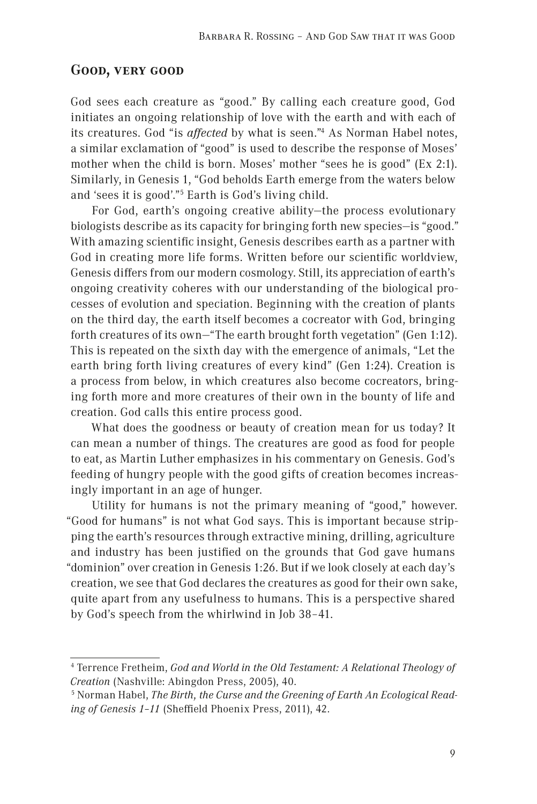#### **Good, very good**

God sees each creature as "good." By calling each creature good, God initiates an ongoing relationship of love with the earth and with each of its creatures. God "is *affected* by what is seen."4 As Norman Habel notes, a similar exclamation of "good" is used to describe the response of Moses' mother when the child is born. Moses' mother "sees he is good" (Ex 2:1). Similarly, in Genesis 1, "God beholds Earth emerge from the waters below and 'sees it is good'."5 Earth is God's living child.

For God, earth's ongoing creative ability—the process evolutionary biologists describe as its capacity for bringing forth new species—is "good." With amazing scientific insight, Genesis describes earth as a partner with God in creating more life forms. Written before our scientific worldview, Genesis differs from our modern cosmology. Still, its appreciation of earth's ongoing creativity coheres with our understanding of the biological processes of evolution and speciation. Beginning with the creation of plants on the third day, the earth itself becomes a cocreator with God, bringing forth creatures of its own—"The earth brought forth vegetation" (Gen 1:12). This is repeated on the sixth day with the emergence of animals, "Let the earth bring forth living creatures of every kind" (Gen 1:24). Creation is a process from below, in which creatures also become cocreators, bringing forth more and more creatures of their own in the bounty of life and creation. God calls this entire process good.

What does the goodness or beauty of creation mean for us today? It can mean a number of things. The creatures are good as food for people to eat, as Martin Luther emphasizes in his commentary on Genesis. God's feeding of hungry people with the good gifts of creation becomes increasingly important in an age of hunger.

Utility for humans is not the primary meaning of "good," however. "Good for humans" is not what God says. This is important because stripping the earth's resources through extractive mining, drilling, agriculture and industry has been justified on the grounds that God gave humans "dominion" over creation in Genesis 1:26. But if we look closely at each day's creation, we see that God declares the creatures as good for their own sake, quite apart from any usefulness to humans. This is a perspective shared by God's speech from the whirlwind in Job 38–41.

<sup>4</sup> Terrence Fretheim, *God and World in the Old Testament: A Relational Theology of Creation* (Nashville: Abingdon Press, 2005), 40.

<sup>&</sup>lt;sup>5</sup> Norman Habel, *The Birth, the Curse and the Greening of Earth An Ecological Reading of Genesis 1–11* (Sheffield Phoenix Press, 2011), 42.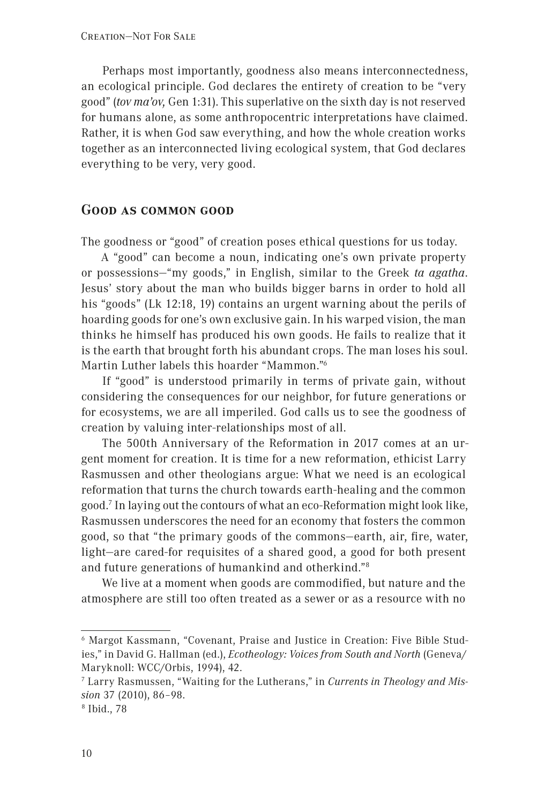Perhaps most importantly, goodness also means interconnectedness, an ecological principle. God declares the entirety of creation to be "very good" (*tov ma'ov,* Gen 1:31). This superlative on the sixth day is not reserved for humans alone, as some anthropocentric interpretations have claimed. Rather, it is when God saw everything, and how the whole creation works together as an interconnected living ecological system, that God declares everything to be very, very good.

#### **Good as common good**

The goodness or "good" of creation poses ethical questions for us today.

A "good" can become a noun, indicating one's own private property or possessions—"my goods," in English, similar to the Greek *ta agatha*. Jesus' story about the man who builds bigger barns in order to hold all his "goods" (Lk 12:18, 19) contains an urgent warning about the perils of hoarding goods for one's own exclusive gain. In his warped vision, the man thinks he himself has produced his own goods. He fails to realize that it is the earth that brought forth his abundant crops. The man loses his soul. Martin Luther labels this hoarder "Mammon."6

If "good" is understood primarily in terms of private gain, without considering the consequences for our neighbor, for future generations or for ecosystems, we are all imperiled. God calls us to see the goodness of creation by valuing inter-relationships most of all.

The 500th Anniversary of the Reformation in 2017 comes at an urgent moment for creation. It is time for a new reformation, ethicist Larry Rasmussen and other theologians argue: What we need is an ecological reformation that turns the church towards earth-healing and the common good.7 In laying out the contours of what an eco-Reformation might look like, Rasmussen underscores the need for an economy that fosters the common good, so that "the primary goods of the commons—earth, air, fire, water, light—are cared-for requisites of a shared good, a good for both present and future generations of humankind and otherkind."8

We live at a moment when goods are commodified, but nature and the atmosphere are still too often treated as a sewer or as a resource with no

<sup>6</sup> Margot Kassmann, "Covenant, Praise and Justice in Creation: Five Bible Studies," in David G. Hallman (ed.), *Ecotheology: Voices from South and North* (Geneva/ Maryknoll: WCC/Orbis, 1994), 42.

<sup>7</sup> Larry Rasmussen, "Waiting for the Lutherans," in *Currents in Theology and Mission* 37 (2010), 86-98.

<sup>&</sup>lt;sup>8</sup> Ibid., 78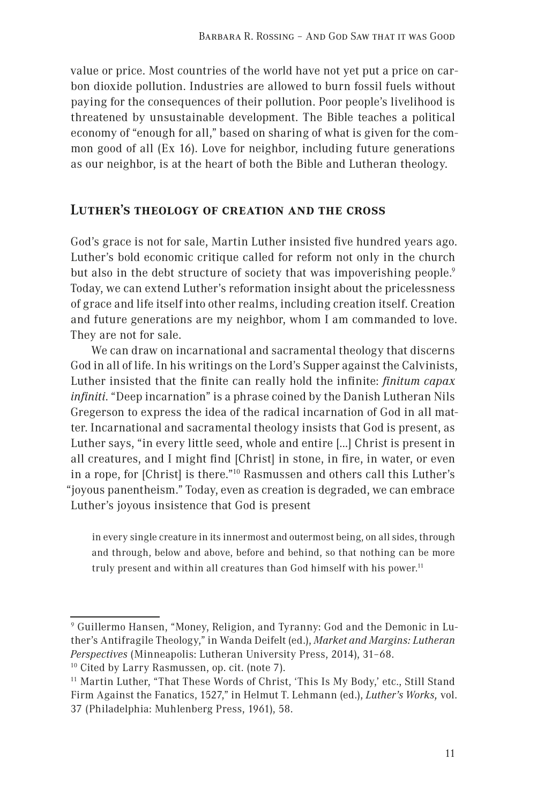value or price. Most countries of the world have not yet put a price on carbon dioxide pollution. Industries are allowed to burn fossil fuels without paying for the consequences of their pollution. Poor people's livelihood is threatened by unsustainable development. The Bible teaches a political economy of "enough for all," based on sharing of what is given for the common good of all (Ex 16). Love for neighbor, including future generations as our neighbor, is at the heart of both the Bible and Lutheran theology.

### **Luther's theology of creation and the cross**

God's grace is not for sale, Martin Luther insisted five hundred years ago. Luther's bold economic critique called for reform not only in the church but also in the debt structure of society that was impoverishing people.<sup>9</sup> Today, we can extend Luther's reformation insight about the pricelessness of grace and life itself into other realms, including creation itself. Creation and future generations are my neighbor, whom I am commanded to love. They are not for sale.

We can draw on incarnational and sacramental theology that discerns God in all of life. In his writings on the Lord's Supper against the Calvinists, Luther insisted that the finite can really hold the infinite: *finitum capax infiniti*. "Deep incarnation" is a phrase coined by the Danish Lutheran Nils Gregerson to express the idea of the radical incarnation of God in all matter. Incarnational and sacramental theology insists that God is present, as Luther says, "in every little seed, whole and entire […] Christ is present in all creatures, and I might find [Christ] in stone, in fire, in water, or even in a rope, for [Christ] is there."10 Rasmussen and others call this Luther's "joyous panentheism." Today, even as creation is degraded, we can embrace Luther's joyous insistence that God is present

in every single creature in its innermost and outermost being, on all sides, through and through, below and above, before and behind, so that nothing can be more truly present and within all creatures than God himself with his power.<sup>11</sup>

9 Guillermo Hansen, "Money, Religion, and Tyranny: God and the Demonic in Luther's Antifragile Theology," in Wanda Deifelt (ed.), *Market and Margins: Lutheran Perspectives* (Minneapolis: Lutheran University Press, 2014), 31–68.

<sup>10</sup> Cited by Larry Rasmussen, op. cit. (note 7).

<sup>&</sup>lt;sup>11</sup> Martin Luther, "That These Words of Christ, 'This Is My Body,' etc., Still Stand Firm Against the Fanatics, 1527," in Helmut T. Lehmann (ed.), *Luther's Works,* vol. 37 (Philadelphia: Muhlenberg Press, 1961), 58.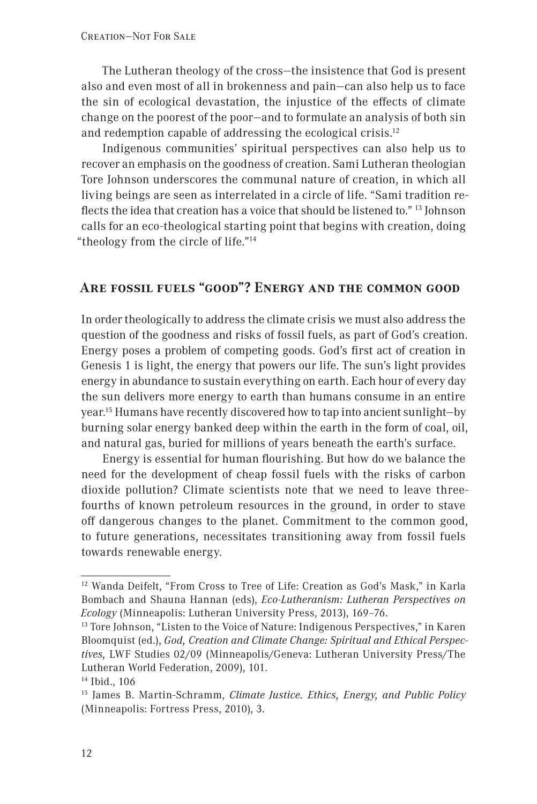The Lutheran theology of the cross—the insistence that God is present also and even most of all in brokenness and pain—can also help us to face the sin of ecological devastation, the injustice of the effects of climate change on the poorest of the poor—and to formulate an analysis of both sin and redemption capable of addressing the ecological crisis.12

Indigenous communities' spiritual perspectives can also help us to recover an emphasis on the goodness of creation. Sami Lutheran theologian Tore Johnson underscores the communal nature of creation, in which all living beings are seen as interrelated in a circle of life. "Sami tradition reflects the idea that creation has a voice that should be listened to." 13 Johnson calls for an eco-theological starting point that begins with creation, doing "theology from the circle of life."14

# **Are fossil fuels "good"? Energy and the common good**

In order theologically to address the climate crisis we must also address the question of the goodness and risks of fossil fuels, as part of God's creation. Energy poses a problem of competing goods. God's first act of creation in Genesis 1 is light, the energy that powers our life. The sun's light provides energy in abundance to sustain everything on earth. Each hour of every day the sun delivers more energy to earth than humans consume in an entire year.15 Humans have recently discovered how to tap into ancient sunlight—by burning solar energy banked deep within the earth in the form of coal, oil, and natural gas, buried for millions of years beneath the earth's surface.

Energy is essential for human flourishing. But how do we balance the need for the development of cheap fossil fuels with the risks of carbon dioxide pollution? Climate scientists note that we need to leave threefourths of known petroleum resources in the ground, in order to stave off dangerous changes to the planet. Commitment to the common good, to future generations, necessitates transitioning away from fossil fuels towards renewable energy.

<sup>12</sup> Wanda Deifelt, "From Cross to Tree of Life: Creation as God's Mask," in Karla Bombach and Shauna Hannan (eds), *Eco-Lutheranism: Lutheran Perspectives on Ecology* (Minneapolis: Lutheran University Press, 2013), 169–76.

<sup>&</sup>lt;sup>13</sup> Tore Johnson, "Listen to the Voice of Nature: Indigenous Perspectives," in Karen Bloomquist (ed.), *God, Creation and Climate Change: Spiritual and Ethical Perspectives,* LWF Studies 02/09 (Minneapolis/Geneva: Lutheran University Press/The Lutheran World Federation, 2009), 101.

<sup>14</sup> Ibid., 106

<sup>15</sup> James B. Martin-Schramm, *Climate Justice. Ethics, Energy, and Public Policy*  (Minneapolis: Fortress Press, 2010), 3.